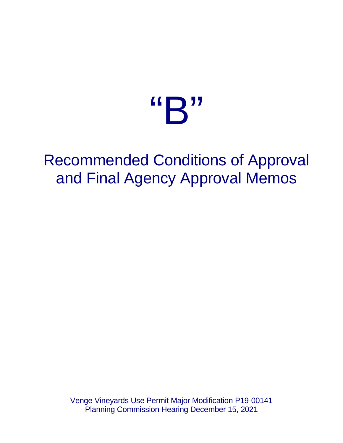# "B"

## Recommended Conditions of Approval and Final Agency Approval Memos

Venge Vineyards Use Permit Major Modification P19-00141 Planning Commission Hearing December 15, 2021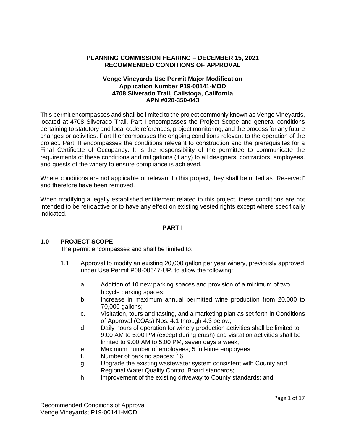#### **PLANNING COMMISSION HEARING – DECEMBER 15, 2021 RECOMMENDED CONDITIONS OF APPROVAL**

#### **Venge Vineyards Use Permit Major Modification Application Number P19-00141-MOD 4708 Silverado Trail, Calistoga, California APN #020-350-043**

This permit encompasses and shall be limited to the project commonly known as Venge Vineyards, located at 4708 Silverado Trail. Part I encompasses the Project Scope and general conditions pertaining to statutory and local code references, project monitoring, and the process for any future changes or activities. Part II encompasses the ongoing conditions relevant to the operation of the project. Part III encompasses the conditions relevant to construction and the prerequisites for a Final Certificate of Occupancy. It is the responsibility of the permittee to communicate the requirements of these conditions and mitigations (if any) to all designers, contractors, employees, and guests of the winery to ensure compliance is achieved.

Where conditions are not applicable or relevant to this project, they shall be noted as "Reserved" and therefore have been removed.

When modifying a legally established entitlement related to this project, these conditions are not intended to be retroactive or to have any effect on existing vested rights except where specifically indicated.

#### **PART I**

#### **1.0 PROJECT SCOPE**

The permit encompasses and shall be limited to:

- 1.1 Approval to modify an existing 20,000 gallon per year winery, previously approved under Use Permit P08-00647-UP, to allow the following:
	- a. Addition of 10 new parking spaces and provision of a minimum of two bicycle parking spaces;
	- b. Increase in maximum annual permitted wine production from 20,000 to 70,000 gallons;
	- c. Visitation, tours and tasting, and a marketing plan as set forth in Conditions of Approval (COAs) Nos. 4.1 through 4.3 below;
	- d. Daily hours of operation for winery production activities shall be limited to 9:00 AM to 5:00 PM (except during crush) and visitation activities shall be limited to 9:00 AM to 5:00 PM, seven days a week;
	- e. Maximum number of employees; 5 full-time employees
	- f. Number of parking spaces; 16
	- g. Upgrade the existing wastewater system consistent with County and Regional Water Quality Control Board standards;
	- h. Improvement of the existing driveway to County standards; and

Recommended Conditions of Approval Venge Vineyards; P19-00141-MOD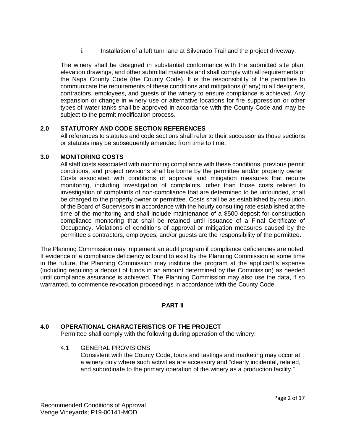i. Installation of a left turn lane at Silverado Trail and the project driveway.

The winery shall be designed in substantial conformance with the submitted site plan, elevation drawings, and other submittal materials and shall comply with all requirements of the Napa County Code (the County Code). It is the responsibility of the permittee to communicate the requirements of these conditions and mitigations (if any) to all designers, contractors, employees, and guests of the winery to ensure compliance is achieved. Any expansion or change in winery use or alternative locations for fire suppression or other types of water tanks shall be approved in accordance with the County Code and may be subiect to the permit modification process.

#### **2.0 STATUTORY AND CODE SECTION REFERENCES**

All references to statutes and code sections shall refer to their successor as those sections or statutes may be subsequently amended from time to time.

#### **3.0 MONITORING COSTS**

All staff costs associated with monitoring compliance with these conditions, previous permit conditions, and project revisions shall be borne by the permittee and/or property owner. Costs associated with conditions of approval and mitigation measures that require monitoring, including investigation of complaints, other than those costs related to investigation of complaints of non-compliance that are determined to be unfounded, shall be charged to the property owner or permittee. Costs shall be as established by resolution of the Board of Supervisors in accordance with the hourly consulting rate established at the time of the monitoring and shall include maintenance of a \$500 deposit for construction compliance monitoring that shall be retained until issuance of a Final Certificate of Occupancy. Violations of conditions of approval or mitigation measures caused by the permittee's contractors, employees, and/or guests are the responsibility of the permittee.

The Planning Commission may implement an audit program if compliance deficiencies are noted. If evidence of a compliance deficiency is found to exist by the Planning Commission at some time in the future, the Planning Commission may institute the program at the applicant's expense (including requiring a deposit of funds in an amount determined by the Commission) as needed until compliance assurance is achieved. The Planning Commission may also use the data, if so warranted, to commence revocation proceedings in accordance with the County Code.

#### **PART II**

#### **4.0 OPERATIONAL CHARACTERISTICS OF THE PROJECT**

Permittee shall comply with the following during operation of the winery:

4.1 GENERAL PROVISIONS Consistent with the County Code, tours and tastings and marketing may occur at a winery only where such activities are accessory and "clearly incidental, related, and subordinate to the primary operation of the winery as a production facility."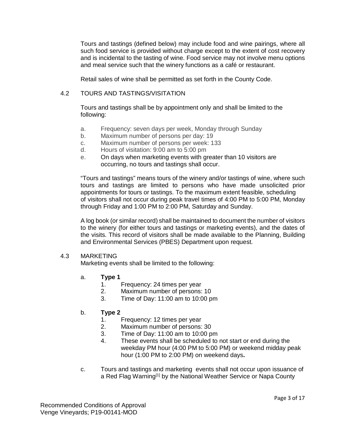Tours and tastings (defined below) may include food and wine pairings, where all such food service is provided without charge except to the extent of cost recovery and is incidental to the tasting of wine. Food service may not involve menu options and meal service such that the winery functions as a café or restaurant.

Retail sales of wine shall be permitted as set forth in the County Code.

#### 4.2 TOURS AND TASTINGS/VISITATION

Tours and tastings shall be by appointment only and shall be limited to the following:

- a. Frequency: seven days per week, Monday through Sunday
- b. Maximum number of persons per day: 19
- c. Maximum number of persons per week: 133
- d. Hours of visitation: 9:00 am to 5:00 pm
- e. On days when marketing events with greater than 10 visitors are occurring, no tours and tastings shall occur.

"Tours and tastings" means tours of the winery and/or tastings of wine, where such tours and tastings are limited to persons who have made unsolicited prior appointments for tours or tastings. To the maximum extent feasible, scheduling of visitors shall not occur during peak travel times of 4:00 PM to 5:00 PM, Monday through Friday and 1:00 PM to 2:00 PM, Saturday and Sunday.

A log book (or similar record) shall be maintained to document the number of visitors to the winery (for either tours and tastings or marketing events), and the dates of the visits. This record of visitors shall be made available to the Planning, Building and Environmental Services (PBES) Department upon request.

#### 4.3 MARKETING

Marketing events shall be limited to the following:

- a. **Type 1**
	- 1. Frequency: 24 times per year
	- 2. Maximum number of persons: 10
	- 3. Time of Day: 11:00 am to 10:00 pm
- b. **Type 2**
	- 1. Frequency: 12 times per year
	- 2. Maximum number of persons: 30
	- 3. Time of Day: 11:00 am to 10:00 pm
	- 4. These events shall be scheduled to not start or end during the weekday PM hour (4:00 PM to 5:00 PM) or weekend midday peak hour (1:00 PM to 2:00 PM) on weekend days**.**
- c. Tours and tastings and marketing events shall not occur upon issuance of a Red Flag Warning<sup>[1]</sup> by the National Weather Service or Napa County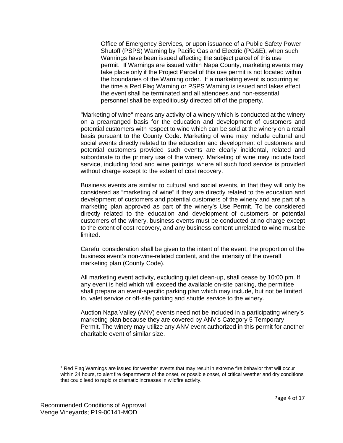Office of Emergency Services, or upon issuance of a Public Safety Power Shutoff (PSPS) Warning by Pacific Gas and Electric (PG&E), when such Warnings have been issued affecting the subject parcel of this use permit. If Warnings are issued within Napa County, marketing events may take place only if the Project Parcel of this use permit is not located within the boundaries of the Warning order. If a marketing event is occurring at the time a Red Flag Warning or PSPS Warning is issued and takes effect, the event shall be terminated and all attendees and non-essential personnel shall be expeditiously directed off of the property.

"Marketing of wine" means any activity of a winery which is conducted at the winery on a prearranged basis for the education and development of customers and potential customers with respect to wine which can be sold at the winery on a retail basis pursuant to the County Code. Marketing of wine may include cultural and social events directly related to the education and development of customers and potential customers provided such events are clearly incidental, related and subordinate to the primary use of the winery. Marketing of wine may include food service, including food and wine pairings, where all such food service is provided without charge except to the extent of cost recovery.

Business events are similar to cultural and social events, in that they will only be considered as "marketing of wine" if they are directly related to the education and development of customers and potential customers of the winery and are part of a marketing plan approved as part of the winery's Use Permit. To be considered directly related to the education and development of customers or potential customers of the winery, business events must be conducted at no charge except to the extent of cost recovery, and any business content unrelated to wine must be limited.

Careful consideration shall be given to the intent of the event, the proportion of the business event's non-wine-related content, and the intensity of the overall marketing plan (County Code).

All marketing event activity, excluding quiet clean-up, shall cease by 10:00 pm. If any event is held which will exceed the available on-site parking, the permittee shall prepare an event-specific parking plan which may include, but not be limited to, valet service or off-site parking and shuttle service to the winery.

Auction Napa Valley (ANV) events need not be included in a participating winery's marketing plan because they are covered by ANV's Category 5 Temporary Permit. The winery may utilize any ANV event authorized in this permit for another charitable event of similar size.

<sup>1</sup> Red Flag Warnings are issued for weather events that may result in extreme fire behavior that will occur within 24 hours, to alert fire departments of the onset, or possible onset, of critical weather and dry conditions that could lead to rapid or dramatic increases in wildfire activity.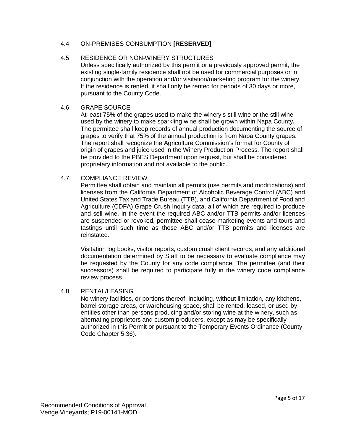#### 4.4 ON-PREMISES CONSUMPTION **[RESERVED]**

#### 4.5 RESIDENCE OR NON-WINERY STRUCTURES

Unless specifically authorized by this permit or a previously approved permit, the existing single-family residence shall not be used for commercial purposes or in conjunction with the operation and/or visitation/marketing program for the winery. If the residence is rented, it shall only be rented for periods of 30 days or more, pursuant to the County Code.

#### 4.6 GRAPE SOURCE

At least 75% of the grapes used to make the winery's still wine or the still wine used by the winery to make sparkling wine shall be grown within Napa County**.**  The permittee shall keep records of annual production documenting the source of grapes to verify that 75% of the annual production is from Napa County grapes. The report shall recognize the Agriculture Commission's format for County of origin of grapes and juice used in the Winery Production Process. The report shall be provided to the PBES Department upon request, but shall be considered proprietary information and not available to the public.

#### 4.7 COMPLIANCE REVIEW

Permittee shall obtain and maintain all permits (use permits and modifications) and licenses from the California Department of Alcoholic Beverage Control (ABC) and United States Tax and Trade Bureau (TTB), and California Department of Food and Agriculture (CDFA) Grape Crush Inquiry data, all of which are required to produce and sell wine. In the event the required ABC and/or TTB permits and/or licenses are suspended or revoked, permittee shall cease marketing events and tours and tastings until such time as those ABC and/or TTB permits and licenses are reinstated.

Visitation log books, visitor reports, custom crush client records, and any additional documentation determined by Staff to be necessary to evaluate compliance may be requested by the County for any code compliance. The permittee (and their successors) shall be required to participate fully in the winery code compliance review process.

#### 4.8 RENTAL/LEASING

No winery facilities, or portions thereof, including, without limitation, any kitchens, barrel storage areas, or warehousing space, shall be rented, leased, or used by entities other than persons producing and/or storing wine at the winery, such as alternating proprietors and custom producers, except as may be specifically authorized in this Permit or pursuant to the Temporary Events Ordinance (County Code Chapter 5.36).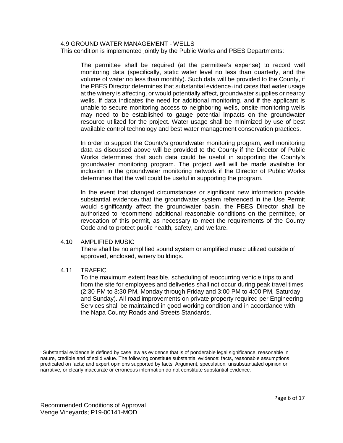#### 4.9 GROUND WATER MANAGEMENT - WELLS

This condition is implemented jointly by the Public Works and PBES Departments:

The permittee shall be required (at the permittee's expense) to record well monitoring data (specifically, static water level no less than quarterly, and the volume of water no less than monthly). Such data will be provided to the County, if the PBES Director determines that substantial evidence<sub>1</sub> indicates that water usage at the winery is affecting, or would potentially affect, groundwater supplies or nearby wells. If data indicates the need for additional monitoring, and if the applicant is unable to secure monitoring access to neighboring wells, onsite monitoring wells may need to be established to gauge potential impacts on the groundwater resource utilized for the project. Water usage shall be minimized by use of best available control technology and best water management conservation practices.

In order to support the County's groundwater monitoring program, well monitoring data as discussed above will be provided to the County if the Director of Public Works determines that such data could be useful in supporting the County's groundwater monitoring program. The project well will be made available for inclusion in the groundwater monitoring network if the Director of Public Works determines that the well could be useful in supporting the program.

In the event that changed circumstances or significant new information provide substantial evidence1 that the groundwater system referenced in the Use Permit would significantly affect the groundwater basin, the PBES Director shall be authorized to recommend additional reasonable conditions on the permittee, or revocation of this permit, as necessary to meet the requirements of the County Code and to protect public health, safety, and welfare.

#### 4.10 AMPLIFIED MUSIC

There shall be no amplified sound system or amplified music utilized outside of approved, enclosed, winery buildings.

#### 4.11 TRAFFIC

To the maximum extent feasible, scheduling of reoccurring vehicle trips to and from the site for employees and deliveries shall not occur during peak travel times (2:30 PM to 3:30 PM, Monday through Friday and 3:00 PM to 4:00 PM, Saturday and Sunday). All road improvements on private property required per Engineering Services shall be maintained in good working condition and in accordance with the Napa County Roads and Streets Standards.

\_\_\_\_\_\_\_\_\_\_\_\_\_\_\_\_\_\_\_\_\_\_\_\_\_\_\_\_\_\_\_\_\_\_\_\_\_\_\_\_ <sup>1</sup> Substantial evidence is defined by case law as evidence that is of ponderable legal significance, reasonable in nature, credible and of solid value. The following constitute substantial evidence: facts, reasonable assumptions predicated on facts; and expert opinions supported by facts. Argument, speculation, unsubstantiated opinion or narrative, or clearly inaccurate or erroneous information do not constitute substantial evidence.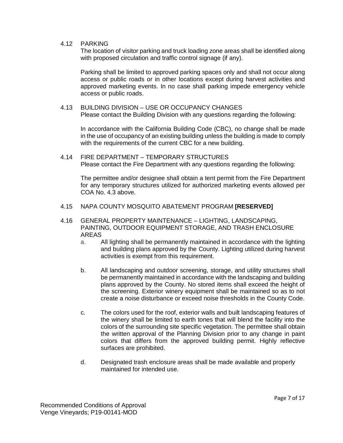#### 4.12 PARKING

The location of visitor parking and truck loading zone areas shall be identified along with proposed circulation and traffic control signage (if any).

Parking shall be limited to approved parking spaces only and shall not occur along access or public roads or in other locations except during harvest activities and approved marketing events. In no case shall parking impede emergency vehicle access or public roads.

#### 4.13 BUILDING DIVISION – USE OR OCCUPANCY CHANGES

Please contact the Building Division with any questions regarding the following:

In accordance with the California Building Code (CBC), no change shall be made in the use of occupancy of an existing building unless the building is made to comply with the requirements of the current CBC for a new building.

4.14 FIRE DEPARTMENT – TEMPORARY STRUCTURES Please contact the Fire Department with any questions regarding the following:

The permittee and/or designee shall obtain a tent permit from the Fire Department for any temporary structures utilized for authorized marketing events allowed per COA No. 4.3 above.

- 4.15 NAPA COUNTY MOSQUITO ABATEMENT PROGRAM **[RESERVED]**
- 4.16 GENERAL PROPERTY MAINTENANCE LIGHTING, LANDSCAPING, PAINTING, OUTDOOR EQUIPMENT STORAGE, AND TRASH ENCLOSURE AREAS
	- a. All lighting shall be permanently maintained in accordance with the lighting and building plans approved by the County. Lighting utilized during harvest activities is exempt from this requirement.
	- b. All landscaping and outdoor screening, storage, and utility structures shall be permanently maintained in accordance with the landscaping and building plans approved by the County. No stored items shall exceed the height of the screening. Exterior winery equipment shall be maintained so as to not create a noise disturbance or exceed noise thresholds in the County Code.
	- c. The colors used for the roof, exterior walls and built landscaping features of the winery shall be limited to earth tones that will blend the facility into the colors of the surrounding site specific vegetation. The permittee shall obtain the written approval of the Planning Division prior to any change in paint colors that differs from the approved building permit. Highly reflective surfaces are prohibited.
	- d. Designated trash enclosure areas shall be made available and properly maintained for intended use.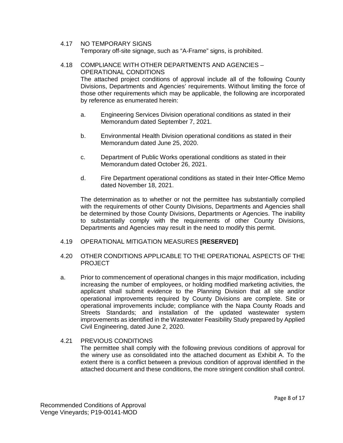#### 4.17 NO TEMPORARY SIGNS

Temporary off-site signage, such as "A-Frame" signs, is prohibited.

#### 4.18 COMPLIANCE WITH OTHER DEPARTMENTS AND AGENCIES – OPERATIONAL CONDITIONS

The attached project conditions of approval include all of the following County Divisions, Departments and Agencies' requirements. Without limiting the force of those other requirements which may be applicable, the following are incorporated by reference as enumerated herein:

- a. Engineering Services Division operational conditions as stated in their Memorandum dated September 7, 2021.
- b. Environmental Health Division operational conditions as stated in their Memorandum dated June 25, 2020.
- c. Department of Public Works operational conditions as stated in their Memorandum dated October 26, 2021.
- d. Fire Department operational conditions as stated in their Inter-Office Memo dated November 18, 2021.

The determination as to whether or not the permittee has substantially complied with the requirements of other County Divisions, Departments and Agencies shall be determined by those County Divisions, Departments or Agencies. The inability to substantially comply with the requirements of other County Divisions, Departments and Agencies may result in the need to modify this permit.

#### 4.19 OPERATIONAL MITIGATION MEASURES **[RESERVED]**

- 4.20 OTHER CONDITIONS APPLICABLE TO THE OPERATIONAL ASPECTS OF THE PROJECT
- a. Prior to commencement of operational changes in this major modification, including increasing the number of employees, or holding modified marketing activities, the applicant shall submit evidence to the Planning Division that all site and/or operational improvements required by County Divisions are complete. Site or operational improvements include; compliance with the Napa County Roads and Streets Standards; and installation of the updated wastewater system improvements as identified in the Wastewater Feasibility Study prepared by Applied Civil Engineering, dated June 2, 2020.

#### 4.21 PREVIOUS CONDITIONS The permittee shall comply with the following previous conditions of approval for the winery use as consolidated into the attached document as Exhibit A. To the extent there is a conflict between a previous condition of approval identified in the attached document and these conditions, the more stringent condition shall control.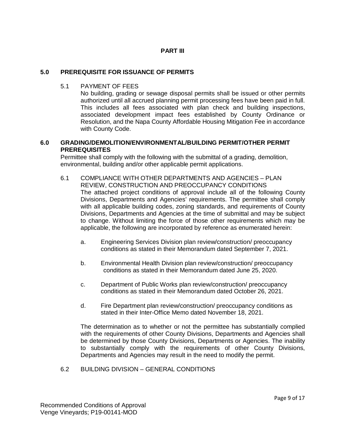#### **PART III**

#### **5.0 PREREQUISITE FOR ISSUANCE OF PERMITS**

5.1 PAYMENT OF FEES

No building, grading or sewage disposal permits shall be issued or other permits authorized until all accrued planning permit processing fees have been paid in full. This includes all fees associated with plan check and building inspections, associated development impact fees established by County Ordinance or Resolution, and the Napa County Affordable Housing Mitigation Fee in accordance with County Code.

#### **6.0 GRADING/DEMOLITION/ENVIRONMENTAL/BUILDING PERMIT/OTHER PERMIT PREREQUISITES**

Permittee shall comply with the following with the submittal of a grading, demolition, environmental, building and/or other applicable permit applications.

- 6.1 COMPLIANCE WITH OTHER DEPARTMENTS AND AGENCIES PLAN REVIEW, CONSTRUCTION AND PREOCCUPANCY CONDITIONS The attached project conditions of approval include all of the following County Divisions, Departments and Agencies' requirements. The permittee shall comply with all applicable building codes, zoning standards, and requirements of County Divisions, Departments and Agencies at the time of submittal and may be subject to change. Without limiting the force of those other requirements which may be applicable, the following are incorporated by reference as enumerated herein:
	- a. Engineering Services Division plan review/construction/ preoccupancy conditions as stated in their Memorandum dated September 7, 2021.
	- b. Environmental Health Division plan review/construction/ preoccupancy conditions as stated in their Memorandum dated June 25, 2020.
	- c. Department of Public Works plan review/construction/ preoccupancy conditions as stated in their Memorandum dated October 26, 2021.
	- d. Fire Department plan review/construction/ preoccupancy conditions as stated in their Inter-Office Memo dated November 18, 2021.

The determination as to whether or not the permittee has substantially complied with the requirements of other County Divisions, Departments and Agencies shall be determined by those County Divisions, Departments or Agencies. The inability to substantially comply with the requirements of other County Divisions, Departments and Agencies may result in the need to modify the permit.

6.2 BUILDING DIVISION – GENERAL CONDITIONS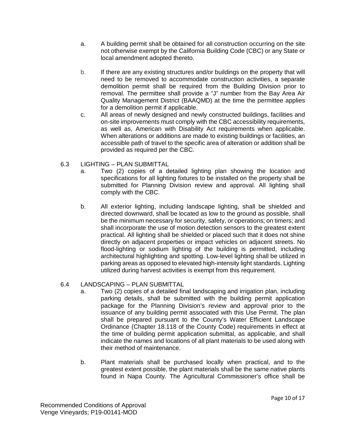- a. A building permit shall be obtained for all construction occurring on the site not otherwise exempt by the California Building Code (CBC) or any State or local amendment adopted thereto.
- b. If there are any existing structures and/or buildings on the property that will need to be removed to accommodate construction activities, a separate demolition permit shall be required from the Building Division prior to removal. The permittee shall provide a "J" number from the Bay Area Air Quality Management District (BAAQMD) at the time the permittee applies for a demolition permit if applicable.
- c. All areas of newly designed and newly constructed buildings, facilities and on-site improvements must comply with the CBC accessibility requirements, as well as, American with Disability Act requirements when applicable. When alterations or additions are made to existing buildings or facilities, an accessible path of travel to the specific area of alteration or addition shall be provided as required per the CBC.
- 6.3 LIGHTING PLAN SUBMITTAL
	- a. Two (2) copies of a detailed lighting plan showing the location and specifications for all lighting fixtures to be installed on the property shall be submitted for Planning Division review and approval. All lighting shall comply with the CBC.
	- b. All exterior lighting, including landscape lighting, shall be shielded and directed downward, shall be located as low to the ground as possible, shall be the minimum necessary for security, safety, or operations; on timers; and shall incorporate the use of motion detection sensors to the greatest extent practical. All lighting shall be shielded or placed such that it does not shine directly on adjacent properties or impact vehicles on adjacent streets. No flood-lighting or sodium lighting of the building is permitted, including architectural highlighting and spotting. Low-level lighting shall be utilized in parking areas as opposed to elevated high-intensity light standards. Lighting utilized during harvest activities is exempt from this requirement.

#### 6.4 LANDSCAPING – PLAN SUBMITTAL

- a. Two (2) copies of a detailed final landscaping and irrigation plan, including parking details, shall be submitted with the building permit application package for the Planning Division's review and approval prior to the issuance of any building permit associated with this Use Permit. The plan shall be prepared pursuant to the County's Water Efficient Landscape Ordinance (Chapter 18.118 of the County Code) requirements in effect at the time of building permit application submittal, as applicable, and shall indicate the names and locations of all plant materials to be used along with their method of maintenance.
- b. Plant materials shall be purchased locally when practical, and to the greatest extent possible, the plant materials shall be the same native plants found in Napa County. The Agricultural Commissioner's office shall be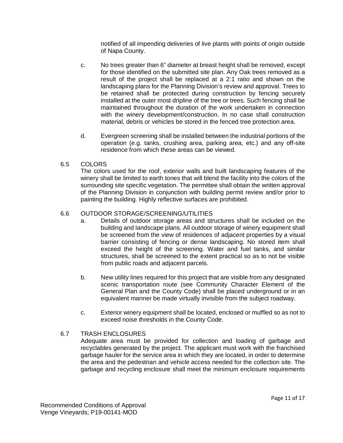notified of all impending deliveries of live plants with points of origin outside of Napa County.

- c. No trees greater than 6" diameter at breast height shall be removed, except for those identified on the submitted site plan. Any Oak trees removed as a result of the project shall be replaced at a 2:1 ratio and shown on the landscaping plans for the Planning Division's review and approval. Trees to be retained shall be protected during construction by fencing securely installed at the outer most dripline of the tree or trees. Such fencing shall be maintained throughout the duration of the work undertaken in connection with the winery development/construction. In no case shall construction material, debris or vehicles be stored in the fenced tree protection area.
- d. Evergreen screening shall be installed between the industrial portions of the operation (e.g. tanks, crushing area, parking area, etc.) and any off-site residence from which these areas can be viewed.
- 6.5 COLORS

The colors used for the roof, exterior walls and built landscaping features of the winery shall be limited to earth tones that will blend the facility into the colors of the surrounding site specific vegetation. The permittee shall obtain the written approval of the Planning Division in conjunction with building permit review and/or prior to painting the building. Highly reflective surfaces are prohibited.

#### 6.6 OUTDOOR STORAGE/SCREENING/UTILITIES

- a. Details of outdoor storage areas and structures shall be included on the building and landscape plans. All outdoor storage of winery equipment shall be screened from the view of residences of adjacent properties by a visual barrier consisting of fencing or dense landscaping. No stored item shall exceed the height of the screening. Water and fuel tanks, and similar structures, shall be screened to the extent practical so as to not be visible from public roads and adjacent parcels.
- b. New utility lines required for this project that are visible from any designated scenic transportation route (see Community Character Element of the General Plan and the County Code) shall be placed underground or in an equivalent manner be made virtually invisible from the subject roadway.
- c. Exterior winery equipment shall be located, enclosed or muffled so as not to exceed noise thresholds in the County Code.

#### 6.7 TRASH ENCLOSURES

Adequate area must be provided for collection and loading of garbage and recyclables generated by the project. The applicant must work with the franchised garbage hauler for the service area in which they are located, in order to determine the area and the pedestrian and vehicle access needed for the collection site. The garbage and recycling enclosure shall meet the minimum enclosure requirements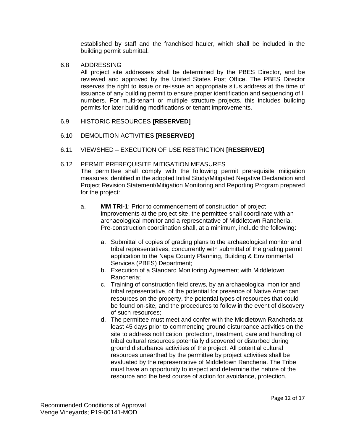established by staff and the franchised hauler, which shall be included in the building permit submittal.

#### 6.8 ADDRESSING

All project site addresses shall be determined by the PBES Director, and be reviewed and approved by the United States Post Office. The PBES Director reserves the right to issue or re-issue an appropriate situs address at the time of issuance of any building permit to ensure proper identification and sequencing of l numbers. For multi-tenant or multiple structure projects, this includes building permits for later building modifications or tenant improvements.

#### 6.9 HISTORIC RESOURCES **[RESERVED]**

#### 6.10 DEMOLITION ACTIVITIES **[RESERVED]**

#### 6.11 VIEWSHED – EXECUTION OF USE RESTRICTION **[RESERVED]**

#### 6.12 PERMIT PREREQUISITE MITIGATION MEASURES

The permittee shall comply with the following permit prerequisite mitigation measures identified in the adopted Initial Study/Mitigated Negative Declaration and Project Revision Statement/Mitigation Monitoring and Reporting Program prepared for the project:

- a. **MM TRI-1**: Prior to commencement of construction of project improvements at the project site, the permittee shall coordinate with an archaeological monitor and a representative of Middletown Rancheria. Pre-construction coordination shall, at a minimum, include the following:
	- a. Submittal of copies of grading plans to the archaeological monitor and tribal representatives, concurrently with submittal of the grading permit application to the Napa County Planning, Building & Environmental Services (PBES) Department;
	- b. Execution of a Standard Monitoring Agreement with Middletown Rancheria;
	- c. Training of construction field crews, by an archaeological monitor and tribal representative, of the potential for presence of Native American resources on the property, the potential types of resources that could be found on-site, and the procedures to follow in the event of discovery of such resources;
	- d. The permittee must meet and confer with the Middletown Rancheria at least 45 days prior to commencing ground disturbance activities on the site to address notification, protection, treatment, care and handling of tribal cultural resources potentially discovered or disturbed during ground disturbance activities of the project. All potential cultural resources unearthed by the permittee by project activities shall be evaluated by the representative of Middletown Rancheria. The Tribe must have an opportunity to inspect and determine the nature of the resource and the best course of action for avoidance, protection,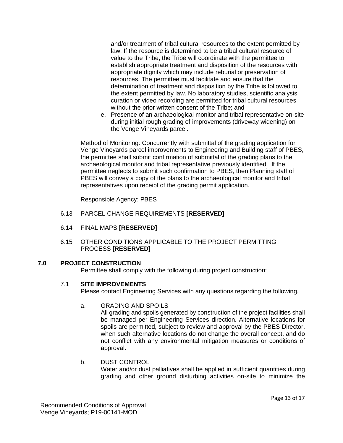and/or treatment of tribal cultural resources to the extent permitted by law. If the resource is determined to be a tribal cultural resource of value to the Tribe, the Tribe will coordinate with the permittee to establish appropriate treatment and disposition of the resources with appropriate dignity which may include reburial or preservation of resources. The permittee must facilitate and ensure that the determination of treatment and disposition by the Tribe is followed to the extent permitted by law. No laboratory studies, scientific analysis, curation or video recording are permitted for tribal cultural resources without the prior written consent of the Tribe; and

e. Presence of an archaeological monitor and tribal representative on-site during initial rough grading of improvements (driveway widening) on the Venge Vineyards parcel.

Method of Monitoring: Concurrently with submittal of the grading application for Venge Vineyards parcel improvements to Engineering and Building staff of PBES, the permittee shall submit confirmation of submittal of the grading plans to the archaeological monitor and tribal representative previously identified. If the permittee neglects to submit such confirmation to PBES, then Planning staff of PBES will convey a copy of the plans to the archaeological monitor and tribal representatives upon receipt of the grading permit application.

Responsible Agency: PBES

- 6.13 PARCEL CHANGE REQUIREMENTS **[RESERVED]**
- 6.14 FINAL MAPS **[RESERVED]**
- 6.15 OTHER CONDITIONS APPLICABLE TO THE PROJECT PERMITTING PROCESS **[RESERVED]**

#### **7.0 PROJECT CONSTRUCTION**

Permittee shall comply with the following during project construction:

#### 7.1 **SITE IMPROVEMENTS**

Please contact Engineering Services with any questions regarding the following.

a. GRADING AND SPOILS

All grading and spoils generated by construction of the project facilities shall be managed per Engineering Services direction. Alternative locations for spoils are permitted, subject to review and approval by the PBES Director, when such alternative locations do not change the overall concept, and do not conflict with any environmental mitigation measures or conditions of approval.

#### b. DUST CONTROL

Water and/or dust palliatives shall be applied in sufficient quantities during grading and other ground disturbing activities on-site to minimize the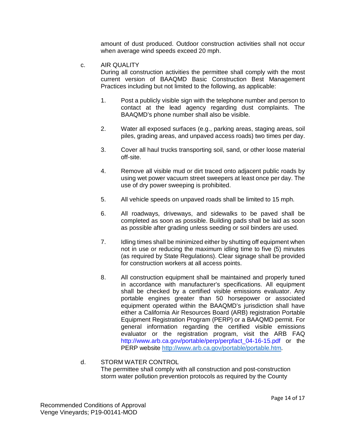amount of dust produced. Outdoor construction activities shall not occur when average wind speeds exceed 20 mph.

c. AIR QUALITY

During all construction activities the permittee shall comply with the most current version of BAAQMD Basic Construction Best Management Practices including but not limited to the following, as applicable:

- 1. Post a publicly visible sign with the telephone number and person to contact at the lead agency regarding dust complaints. The BAAQMD's phone number shall also be visible.
- 2. Water all exposed surfaces (e.g., parking areas, staging areas, soil piles, grading areas, and unpaved access roads) two times per day.
- 3. Cover all haul trucks transporting soil, sand, or other loose material off-site.
- 4. Remove all visible mud or dirt traced onto adjacent public roads by using wet power vacuum street sweepers at least once per day. The use of dry power sweeping is prohibited.
- 5. All vehicle speeds on unpaved roads shall be limited to 15 mph.
- 6. All roadways, driveways, and sidewalks to be paved shall be completed as soon as possible. Building pads shall be laid as soon as possible after grading unless seeding or soil binders are used.
- 7. Idling times shall be minimized either by shutting off equipment when not in use or reducing the maximum idling time to five (5) minutes (as required by State Regulations). Clear signage shall be provided for construction workers at all access points.
- 8. All construction equipment shall be maintained and properly tuned in accordance with manufacturer's specifications. All equipment shall be checked by a certified visible emissions evaluator. Any portable engines greater than 50 horsepower or associated equipment operated within the BAAQMD's jurisdiction shall have either a California Air Resources Board (ARB) registration Portable Equipment Registration Program (PERP) or a BAAQMD permit. For general information regarding the certified visible emissions evaluator or the registration program, visit the ARB FAQ http://www.arb.ca.gov/portable/perp/perpfact\_04-16-15.pdf or the PERP website [http://www.arb.ca.gov/portable/portable.htm.](http://www.arb.ca.gov/portable/portable.htm)

#### d. STORM WATER CONTROL The permittee shall comply with all construction and post-construction storm water pollution prevention protocols as required by the County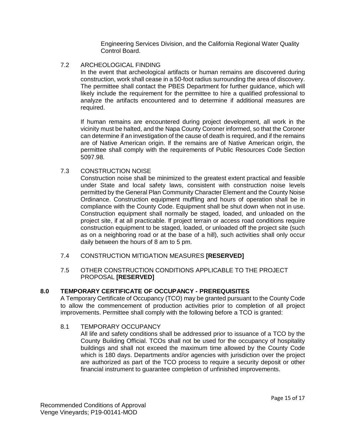Engineering Services Division, and the California Regional Water Quality Control Board.

#### 7.2 ARCHEOLOGICAL FINDING

In the event that archeological artifacts or human remains are discovered during construction, work shall cease in a 50-foot radius surrounding the area of discovery. The permittee shall contact the PBES Department for further guidance, which will likely include the requirement for the permittee to hire a qualified professional to analyze the artifacts encountered and to determine if additional measures are required.

If human remains are encountered during project development, all work in the vicinity must be halted, and the Napa County Coroner informed, so that the Coroner can determine if an investigation of the cause of death is required, and if the remains are of Native American origin. If the remains are of Native American origin, the permittee shall comply with the requirements of Public Resources Code Section 5097.98.

#### 7.3 CONSTRUCTION NOISE

Construction noise shall be minimized to the greatest extent practical and feasible under State and local safety laws, consistent with construction noise levels permitted by the General Plan Community Character Element and the County Noise Ordinance. Construction equipment muffling and hours of operation shall be in compliance with the County Code. Equipment shall be shut down when not in use. Construction equipment shall normally be staged, loaded, and unloaded on the project site, if at all practicable. If project terrain or access road conditions require construction equipment to be staged, loaded, or unloaded off the project site (such as on a neighboring road or at the base of a hill), such activities shall only occur daily between the hours of 8 am to 5 pm.

#### 7.4 CONSTRUCTION MITIGATION MEASURES **[RESERVED]**

#### 7.5 OTHER CONSTRUCTION CONDITIONS APPLICABLE TO THE PROJECT PROPOSAL **[RESERVED]**

#### **8.0 TEMPORARY CERTIFICATE OF OCCUPANCY - PREREQUISITES**

A Temporary Certificate of Occupancy (TCO) may be granted pursuant to the County Code to allow the commencement of production activities prior to completion of all project improvements. Permittee shall comply with the following before a TCO is granted:

#### 8.1 TEMPORARY OCCUPANCY

All life and safety conditions shall be addressed prior to issuance of a TCO by the County Building Official. TCOs shall not be used for the occupancy of hospitality buildings and shall not exceed the maximum time allowed by the County Code which is 180 days. Departments and/or agencies with jurisdiction over the project are authorized as part of the TCO process to require a security deposit or other financial instrument to guarantee completion of unfinished improvements.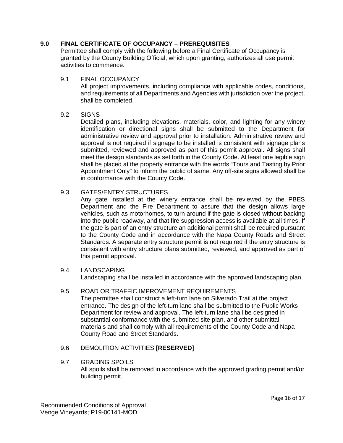#### **9.0 FINAL CERTIFICATE OF OCCUPANCY – PREREQUISITES**

Permittee shall comply with the following before a Final Certificate of Occupancy is granted by the County Building Official, which upon granting, authorizes all use permit activities to commence.

#### 9.1 FINAL OCCUPANCY

All project improvements, including compliance with applicable codes, conditions, and requirements of all Departments and Agencies with jurisdiction over the project, shall be completed.

#### 9.2 SIGNS

Detailed plans, including elevations, materials, color, and lighting for any winery identification or directional signs shall be submitted to the Department for administrative review and approval prior to installation. Administrative review and approval is not required if signage to be installed is consistent with signage plans submitted, reviewed and approved as part of this permit approval. All signs shall meet the design standards as set forth in the County Code. At least one legible sign shall be placed at the property entrance with the words "Tours and Tasting by Prior Appointment Only" to inform the public of same. Any off-site signs allowed shall be in conformance with the County Code.

#### 9.3 GATES/ENTRY STRUCTURES

Any gate installed at the winery entrance shall be reviewed by the PBES Department and the Fire Department to assure that the design allows large vehicles, such as motorhomes, to turn around if the gate is closed without backing into the public roadway, and that fire suppression access is available at all times. If the gate is part of an entry structure an additional permit shall be required pursuant to the County Code and in accordance with the Napa County Roads and Street Standards. A separate entry structure permit is not required if the entry structure is consistent with entry structure plans submitted, reviewed, and approved as part of this permit approval.

#### 9.4 LANDSCAPING

Landscaping shall be installed in accordance with the approved landscaping plan.

#### 9.5 ROAD OR TRAFFIC IMPROVEMENT REQUIREMENTS

The permittee shall construct a left-turn lane on Silverado Trail at the project entrance. The design of the left-turn lane shall be submitted to the Public Works Department for review and approval. The left-turn lane shall be designed in substantial conformance with the submitted site plan, and other submittal materials and shall comply with all requirements of the County Code and Napa County Road and Street Standards.

#### 9.6 DEMOLITION ACTIVITIES **[RESERVED]**

#### 9.7 GRADING SPOILS

All spoils shall be removed in accordance with the approved grading permit and/or building permit.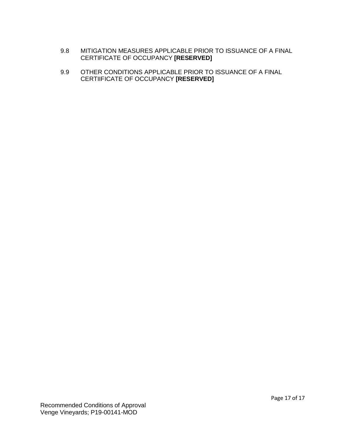- 9.8 MITIGATION MEASURES APPLICABLE PRIOR TO ISSUANCE OF A FINAL CERTIFICATE OF OCCUPANCY **[RESERVED]**
- 9.9 OTHER CONDITIONS APPLICABLE PRIOR TO ISSUANCE OF A FINAL CERTIIFICATE OF OCCUPANCY **[RESERVED]**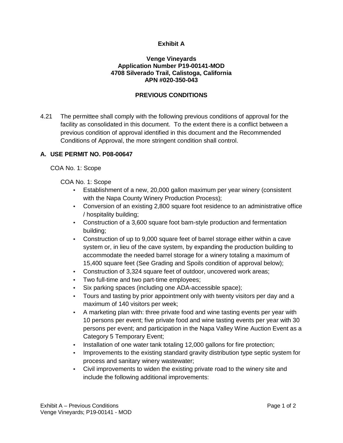#### **Exhibit A**

#### **Venge Vineyards Application Number P19-00141-MOD 4708 Silverado Trail, Calistoga, California APN #020-350-043**

#### **PREVIOUS CONDITIONS**

4.21 The permittee shall comply with the following previous conditions of approval for the facility as consolidated in this document. To the extent there is a conflict between a previous condition of approval identified in this document and the Recommended Conditions of Approval, the more stringent condition shall control.

#### **A. USE PERMIT NO. P08-00647**

COA No. 1: Scope

COA No. 1: Scope

- Establishment of a new, 20,000 gallon maximum per year winery (consistent with the Napa County Winery Production Process);
- Conversion of an existing 2,800 square foot residence to an administrative office / hospitality building;
- Construction of a 3,600 square foot barn-style production and fermentation building;
- Construction of up to 9,000 square feet of barrel storage either within a cave system or, in lieu of the cave system, by expanding the production building to accommodate the needed barrel storage for a winery totaling a maximum of 15,400 square feet (See Grading and Spoils condition of approval below);
- Construction of 3,324 square feet of outdoor, uncovered work areas;
- Two full-time and two part-time employees;
- Six parking spaces (including one ADA-accessible space);
- Tours and tasting by prior appointment only with twenty visitors per day and a maximum of 140 visitors per week;
- A marketing plan with: three private food and wine tasting events per year with 10 persons per event; five private food and wine tasting events per year with 30 persons per event; and participation in the Napa Valley Wine Auction Event as a Category 5 Temporary Event;
- Installation of one water tank totaling 12,000 gallons for fire protection;
- Improvements to the existing standard gravity distribution type septic system for process and sanitary winery wastewater;
- Civil improvements to widen the existing private road to the winery site and include the following additional improvements: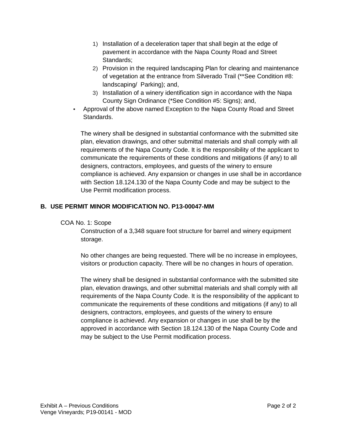- 1) Installation of a deceleration taper that shall begin at the edge of pavement in accordance with the Napa County Road and Street Standards;
- 2) Provision in the required landscaping Plan for clearing and maintenance of vegetation at the entrance from Silverado Trail (\*\*See Condition #8: landscaping/ Parking); and,
- 3) Installation of a winery identification sign in accordance with the Napa County Sign Ordinance (\*See Condition #5: Signs); and,
- Approval of the above named Exception to the Napa County Road and Street Standards.

The winery shall be designed in substantial conformance with the submitted site plan, elevation drawings, and other submittal materials and shall comply with all requirements of the Napa County Code. It is the responsibility of the applicant to communicate the requirements of these conditions and mitigations (if any) to all designers, contractors, employees, and guests of the winery to ensure compliance is achieved. Any expansion or changes in use shall be in accordance with Section 18.124.130 of the Napa County Code and may be subject to the Use Permit modification process.

#### **B. USE PERMIT MINOR MODIFICATION NO. P13-00047-MM**

#### COA No. 1: Scope

Construction of a 3,348 square foot structure for barrel and winery equipment storage.

No other changes are being requested. There will be no increase in employees, visitors or production capacity. There will be no changes in hours of operation.

The winery shall be designed in substantial conformance with the submitted site plan, elevation drawings, and other submittal materials and shall comply with all requirements of the Napa County Code. It is the responsibility of the applicant to communicate the requirements of these conditions and mitigations (if any) to all designers, contractors, employees, and guests of the winery to ensure compliance is achieved. Any expansion or changes in use shall be by the approved in accordance with Section 18.124.130 of the Napa County Code and may be subject to the Use Permit modification process.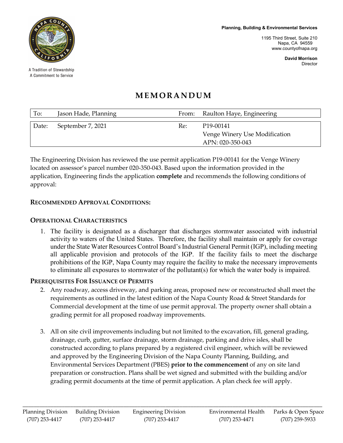**Planning, Building & Environmental Services**

1195 Third Street, Suite 210 Napa, CA 94559 www.countyofnapa.org

> **David Morrison** Director



A Tradition of Stewardship A Commitment to Service

#### **MEMORANDUM**

| To:   | Jason Hade, Planning | From: | Raulton Haye, Engineering                                                   |
|-------|----------------------|-------|-----------------------------------------------------------------------------|
| Date: | September 7, 2021    | Re:   | P <sub>19</sub> -00141<br>Venge Winery Use Modification<br>APN: 020-350-043 |

The Engineering Division has reviewed the use permit application P19-00141 for the Venge Winery located on assessor's parcel number 020-350-043. Based upon the information provided in the application, Engineering finds the application **complete** and recommends the following conditions of approval:

#### **RECOMMENDED APPROVAL CONDITIONS:**

#### **OPERATIONAL CHARACTERISTICS**

1. The facility is designated as a discharger that discharges stormwater associated with industrial activity to waters of the United States. Therefore, the facility shall maintain or apply for coverage under the State Water Resources Control Board's Industrial General Permit (IGP), including meeting all applicable provision and protocols of the IGP. If the facility fails to meet the discharge prohibitions of the IGP, Napa County may require the facility to make the necessary improvements to eliminate all exposures to stormwater of the pollutant(s) for which the water body is impaired.

#### **PREREQUISITES FOR ISSUANCE OF PERMITS**

- 2. Any roadway, access driveway, and parking areas, proposed new or reconstructed shall meet the requirements as outlined in the latest edition of the Napa County Road & Street Standards for Commercial development at the time of use permit approval. The property owner shall obtain a grading permit for all proposed roadway improvements.
- 3. All on site civil improvements including but not limited to the excavation, fill, general grading, drainage, curb, gutter, surface drainage, storm drainage, parking and drive isles, shall be constructed according to plans prepared by a registered civil engineer, which will be reviewed and approved by the Engineering Division of the Napa County Planning, Building, and Environmental Services Department (PBES) **prior to the commencement** of any on site land preparation or construction. Plans shall be wet signed and submitted with the building and/or grading permit documents at the time of permit application. A plan check fee will apply.

\_\_\_\_\_\_\_\_\_\_\_\_\_\_\_\_\_\_\_\_\_\_\_\_\_\_\_\_\_\_\_\_\_\_\_\_\_\_\_\_\_\_\_\_\_\_\_\_\_\_\_\_\_\_\_\_\_\_\_\_\_\_\_\_\_\_\_\_\_\_\_\_\_\_\_\_\_\_\_\_\_\_\_\_\_\_\_\_\_\_\_\_\_\_\_\_\_\_\_\_\_\_\_\_\_\_\_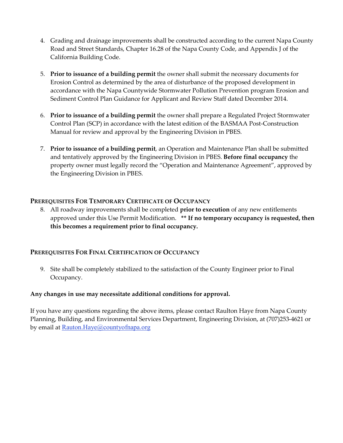- 4. Grading and drainage improvements shall be constructed according to the current Napa County Road and Street Standards, Chapter 16.28 of the Napa County Code, and Appendix J of the California Building Code.
- 5. **Prior to issuance of a building permit** the owner shall submit the necessary documents for Erosion Control as determined by the area of disturbance of the proposed development in accordance with the Napa Countywide Stormwater Pollution Prevention program Erosion and Sediment Control Plan Guidance for Applicant and Review Staff dated December 2014.
- 6. **Prior to issuance of a building permit** the owner shall prepare a Regulated Project Stormwater Control Plan (SCP) in accordance with the latest edition of the BASMAA Post-Construction Manual for review and approval by the Engineering Division in PBES.
- 7. **Prior to issuance of a building permit**, an Operation and Maintenance Plan shall be submitted and tentatively approved by the Engineering Division in PBES. **Before final occupancy** the property owner must legally record the "Operation and Maintenance Agreement", approved by the Engineering Division in PBES.

#### **PREREQUISITES FOR TEMPORARY CERTIFICATE OF OCCUPANCY**

8. All roadway improvements shall be completed **prior to execution** of any new entitlements approved under this Use Permit Modification. **\*\* If no temporary occupancy is requested, then this becomes a requirement prior to final occupancy.**

#### **PREREQUISITES FOR FINAL CERTIFICATION OF OCCUPANCY**

9. Site shall be completely stabilized to the satisfaction of the County Engineer prior to Final Occupancy.

#### **Any changes in use may necessitate additional conditions for approval.**

If you have any questions regarding the above items, please contact Raulton Haye from Napa County Planning, Building, and Environmental Services Department, Engineering Division, at (707)253-4621 or by email at Rauton.Haye@countyofnapa.org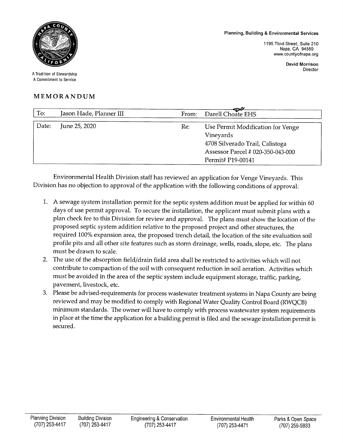#### **Planning, Building & Environmental Services**

1195 Third Street, Suite 210 Napa, CA 94559 www.countyofnapa.org

> **David Morrison** Director



A Tradition of Stewardship A Commitment to Service

#### MEMORANDUM

| To:   | Jason Hade, Planner III | From: | $\mathcal{L}$<br>Darell Choate EHS                                                                                                          |
|-------|-------------------------|-------|---------------------------------------------------------------------------------------------------------------------------------------------|
| Date: | June 25, 2020           | Re:   | Use Permit Modification for Venge<br>Vineyards<br>4708 Silverado Trail, Calistoga<br>Assessor Parcel # 020-350-043-000<br>Permit# P19-00141 |

Environmental Health Division staff has reviewed an application for Venge Vineyards. This Division has no objection to approval of the application with the following conditions of approval:

- 1. A sewage system installation permit for the septic system addition must be applied for within 60 days of use permit approval. To secure the installation, the applicant must submit plans with a plan check fee to this Division for review and approval. The plans must show the location of the proposed septic system addition relative to the proposed project and other structures, the required 100% expansion area, the proposed trench detail, the location of the site evaluation soil profile pits and all other site features such as storm drainage, wells, roads, slope, etc. The plans must be drawn to scale.
- 2. The use of the absorption field/drain field area shall be restricted to activities which will not contribute to compaction of the soil with consequent reduction in soil aeration. Activities which must be avoided in the area of the septic system include equipment storage, traffic, parking, pavement, livestock, etc.
- 3. Please be advised-requirements for process wastewater treatment systems in Napa County are being reviewed and may be modified to comply with Regional Water Quality Control Board (RWQCB) minimum standards. The owner will have to comply with process wastewater system requirements in place at the time the application for a building permit is filed and the sewage installation permit is secured.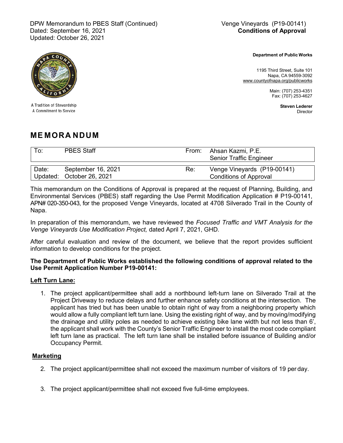DPW Memorandum to PBES Staff (Continued) Wenge Vineyards (P19-00141) Dated: September 16, 2021 Updated: October 26, 2021

**Conditions of Approval**

A Tradition of Stewardship A Commitment to Service

**Department of Public Works**

1195 Third Street, Suite 101 Napa, CA 94559-3092 [www.countyofnapa.org/publicworks](http://www.co.napa.ca.us/publicworks)

> Main: (707) 253-4351 Fax: (707) 253-4627

> > **Steven Lederer** Director

#### **ME MORA NDUM**

| To:   | <b>PBES Staff</b>                               | From: | Ahsan Kazmi, P.E.<br><b>Senior Traffic Engineer</b>          |
|-------|-------------------------------------------------|-------|--------------------------------------------------------------|
| Date: | September 16, 2021<br>Updated: October 26, 2021 | Re:   | Venge Vineyards (P19-00141)<br><b>Conditions of Approval</b> |

This memorandum on the Conditions of Approval is prepared at the request of Planning, Building, and Environmental Services (PBES) staff regarding the Use Permit Modification Application # P19-00141, APN# 020-350-043, for the proposed Venge Vineyards, located at 4708 Silverado Trail in the County of Napa.

In preparation of this memorandum, we have reviewed the *Focused Traffic and VMT Analysis for the Venge Vineyards Use Modification Project,* dated April 7, 2021, GHD*.*

After careful evaluation and review of the document, we believe that the report provides sufficient information to develop conditions for the project.

#### **The Department of Public Works established the following conditions of approval related to the Use Permit Application Number P19-00141:**

#### **Left Turn Lane:**

1. The project applicant/permittee shall add a northbound left-turn lane on Silverado Trail at the Project Driveway to reduce delays and further enhance safety conditions at the intersection. The applicant has tried but has been unable to obtain right of way from a neighboring property which would allow a fully compliant left turn lane. Using the existing right of way, and by moving/modifying the drainage and utility poles as needed to achieve existing bike lane width but not less than 6', the applicant shall work with the County's Senior Traffic Engineer to install the most code compliant left turn lane as practical. The left turn lane shall be installed before issuance of Building and/or Occupancy Permit.

#### **Marketing**

- 2. The project applicant/permittee shall not exceed the maximum number of visitors of 19 per day.
- 3. The project applicant/permittee shall not exceed five full-time employees.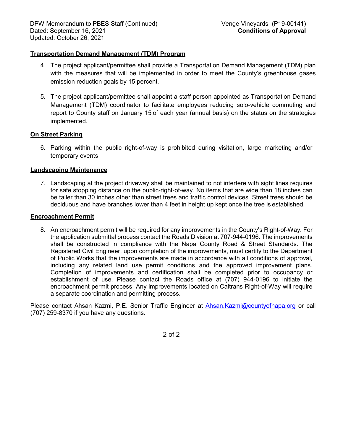#### **Transportation Demand Management (TDM) Program**

- 4. The project applicant/permittee shall provide a Transportation Demand Management (TDM) plan with the measures that will be implemented in order to meet the County's greenhouse gases emission reduction goals by 15 percent.
- 5. The project applicant/permittee shall appoint a staff person appointed as Transportation Demand Management (TDM) coordinator to facilitate employees reducing solo-vehicle commuting and report to County staff on January 15 of each year (annual basis) on the status on the strategies implemented.

#### **On Street Parking**

6. Parking within the public right-of-way is prohibited during visitation, large marketing and/or temporary events

#### **Landscaping Maintenance**

7. Landscaping at the project driveway shall be maintained to not interfere with sight lines requires for safe stopping distance on the public-right-of-way. No items that are wide than 18 inches can be taller than 30 inches other than street trees and traffic control devices. Street trees should be deciduous and have branches lower than 4 feet in height up kept once the tree is established.

#### **Encroachment Permit**

8. An encroachment permit will be required for any improvements in the County's Right-of-Way. For the application submittal process contact the Roads Division at 707-944-0196. The improvements shall be constructed in compliance with the Napa County Road & Street Standards. The Registered Civil Engineer, upon completion of the improvements, must certify to the Department of Public Works that the improvements are made in accordance with all conditions of approval, including any related land use permit conditions and the approved improvement plans. Completion of improvements and certification shall be completed prior to occupancy or establishment of use. Please contact the Roads office at (707) 944-0196 to initiate the encroachment permit process. Any improvements located on Caltrans Right-of-Way will require a separate coordination and permitting process.

Please contact Ahsan Kazmi, P.E. Senior Traffic Engineer at [Ahsan.Kazmi@countyofnapa.org](mailto:Ahsan.Kazmi@countyofnapa.org) or call (707) 259-8370 if you have any questions.

2 of 2